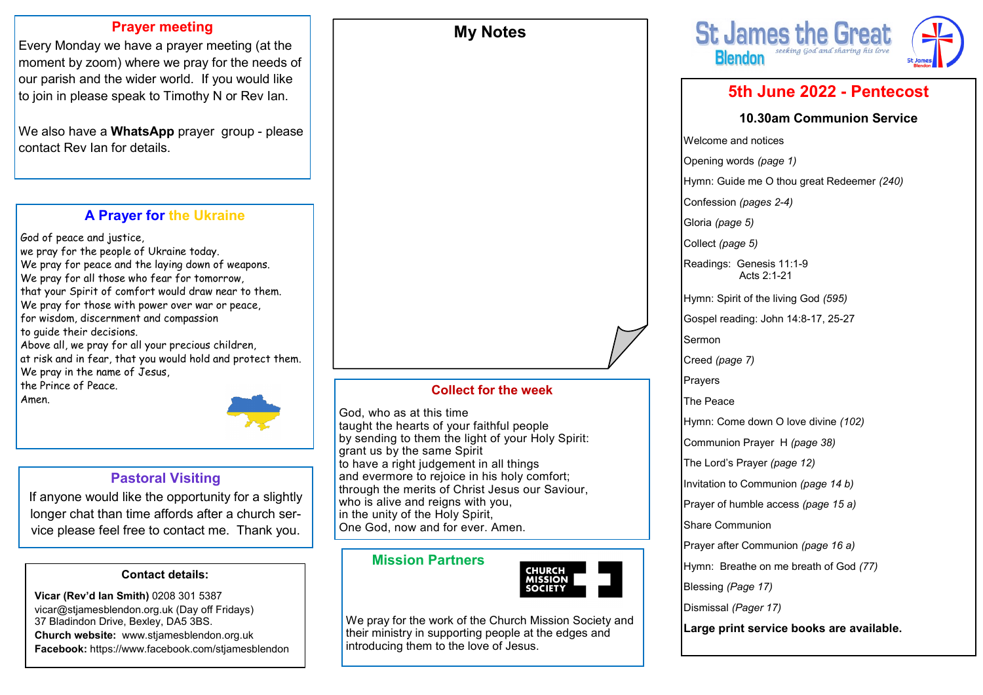### **Prayer meeting**

Every Monday we have a prayer meeting (at the moment by zoom) where we pray for the needs of our parish and the wider world. If you would like to join in please speak to Timothy N or Rev Ian.

We also have a **WhatsApp** prayer group - please contact Rev Ian for details.

# **A Prayer for the Ukraine**

God of peace and justice, we pray for the people of Ukraine today. We pray for peace and the laying down of weapons. We pray for all those who fear for tomorrow, that your Spirit of comfort would draw near to them. We pray for those with power over war or peace, for wisdom, discernment and compassion to guide their decisions. Above all, we pray for all your precious children, at risk and in fear, that you would hold and protect them. We pray in the name of Jesus, the Prince of Peace.

Amen.



# **Pastoral Visiting**

If anyone would like the opportunity for a slightly longer chat than time affords after a church service please feel free to contact me. Thank you.

### **Contact details:**

**Vicar (Rev'd Ian Smith)** 0208 301 5387 vicar@stjamesblendon.org.uk (Day off Fridays) 37 Bladindon Drive, Bexley, DA5 3BS. **Church website:** www.stjamesblendon.org.uk **Facebook:** https://www.facebook.com/stjamesblendon

### **Collect for the week**

**My Notes**

God, who as at this time taught the hearts of your faithful people by sending to them the light of your Holy Spirit: grant us by the same Spirit to have a right judgement in all things and evermore to rejoice in his holy comfort; through the merits of Christ Jesus our Saviour, who is alive and reigns with you. in the unity of the Holy Spirit, One God, now and for ever. Amen.

### **Mission Partners**



We pray for the work of the Church Mission Society and their ministry in supporting people at the edges and introducing them to the love of Jesus.



# **5th June 2022 - Pentecost**

#### **10.30am Communion Service**

Welcome and notices Opening words *(page 1)* Hymn: Guide me O thou great Redeemer *(240)*  Confession *(pages 2-4)*  Gloria *(page 5)*  Collect *(page 5)* Readings: Genesis 11:1-9 Acts 2:1-21 Hymn: Spirit of the living God *(595)* Gospel reading: John 14:8-17, 25-27 Sermon Creed *(page 7)* Prayers The Peace Hymn: Come down O love divine *(102)* Communion Prayer H *(page 38)*  The Lord's Prayer *(page 12)*  Invitation to Communion *(page 14 b)* Prayer of humble access *(page 15 a)*  Share Communion Prayer after Communion *(page 16 a)* Hymn: Breathe on me breath of God *(77)* Blessing *(Page 17)* Dismissal *(Pager 17)* **Large print service books are available.**